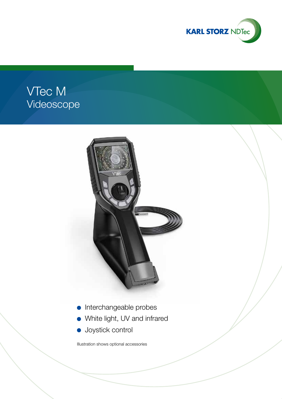

# VTec M Videoscope



- Interchangeable probes
- White light, UV and infrared
- **Joystick control**

Illustration shows optional accessories